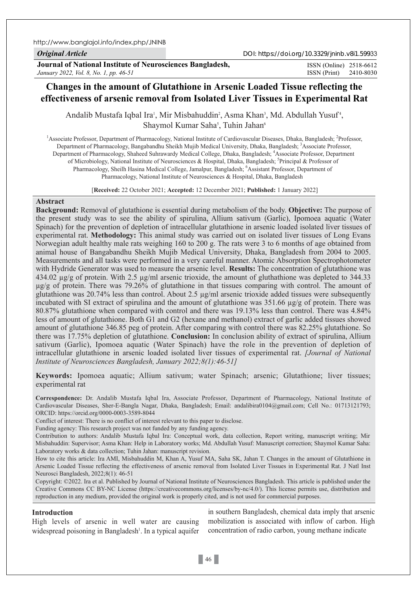http://www.banglajol.info/index.php/JNINB

*Original Article*

DOI: https://doi.org/10.3329/jninb.v8i1.59933

**Journal of National Institute of Neurosciences Bangladesh,** *January 2022, Vol. 8, No. 1, pp. 46-51*

ISSN (Print) 2410-8030 ISSN (Online) 2518-6612

# **Changes in the amount of Glutathione in Arsenic Loaded Tissue reflecting the effectiveness of arsenic removal from Isolated Liver Tissues in Experimental Rat**

Andalib Mustafa Iqbal Ira<sup>1</sup>, Mir Misbahuddin<sup>2</sup>, Asma Khan<sup>3</sup>, Md. Abdullah Yusuf<sup>4</sup>, Shaymol Kumar Saha<sup>5</sup>, Tuhin Jahan<sup>6</sup>

<sup>1</sup> Associate Professor, Department of Pharmacology, National Institute of Cardiovascular Diseases, Dhaka, Bangladesh; <sup>2</sup>Professor, Department of Pharmacology, Bangabandhu Sheikh Mujib Medical University, Dhaka, Bangladesh; <sup>3</sup>Associate Professor, Department of Pharmacology, Shaheed Suhrawardy Medical College, Dhaka, Bangladesh; 4 Associate Professor, Department of Microbiology, National Institute of Neurosciences & Hospital, Dhaka, Bangladesh; <sup>5</sup>Principal & Professor of Pharmacology, Sheilh Hasina Medical College, Jamalpur, Bangladesh; <sup>6</sup>Assistant Professor, Department of Pharmacology, National Institute of Neurosciences & Hospital, Dhaka, Bangladesh

[**Received:** 22 October 2021; **Accepted:** 12 December 2021; **Published:** 1 January 2022]

# **Abstract**

**Background:** Removal of glutathione is essential during metabolism of the body. **Objective:** The purpose of the present study was to see the ability of spirulina, Allium sativum (Garlic), Ipomoea aquatic (Water Spinach) for the prevention of depletion of intracellular glutathione in arsenic loaded isolated liver tissues of experimental rat. **Methodology:** This animal study was carried out on isolated liver tissues of Long Evans Norwegian adult healthy male rats weighing 160 to 200 g. The rats were 3 to 6 months of age obtained from animal house of Bangabandhu Sheikh Mujib Medical University, Dhaka, Bangladesh from 2004 to 2005. Measurements and all tasks were performed in a very careful manner. Atomic Absorption Spectrophotometer with Hydride Generator was used to measure the arsenic level. **Results:** The concentration of glutathione was 434.02 µg/g of protein. With 2.5 µg/ml arsenic trioxide, the amount of gluthathione was depleted to 344.33 µg/g of protein. There was 79.26% of glutathione in that tissues comparing with control. The amount of glutathione was 20.74% less than control. About 2.5  $\mu$ g/ml arsenic trioxide added tissues were subsequently incubated with SI extract of spirulina and the amount of glutathione was 351.66 µg/g of protein. There was 80.87% glutathione when compared with control and there was 19.13% less than control. There was 4.84% less of amount of glutathione. Both G1 and G2 (hexane and methanol) extract of garlic added tissues showed amount of glutathione 346.85 peg of protein. After comparing with control there was 82.25% glutathione. So there was 17.75% depletion of glutathione. **Conclusion:** In conclusion ability of extract of spirulina, Allium sativum (Garlic), Ipomoea aquatic (Water Spinach) have the role in the prevention of depletion of intracellular glutathione in arsenic loaded isolated liver tissues of experimental rat. *[Journal of National Institute of Neurosciences Bangladesh, January 2022;8(1):46-51]*

**Keywords:** Ipomoea aquatic; Allium sativum; water Spinach; arsenic; Glutathione; liver tissues; experimental rat

**Correspondence:** Dr. Andalib Mustafa Iqbal Ira, Associate Professor, Department of Pharmacology, National Institute of Cardiovascular Diseases, Sher-E-Bangla Nagar, Dhaka, Bangladesh; Email: andalibira0104@gmail.com; Cell No.: 01713121793; ORCID: https://orcid.org/0000-0003-3589-8044

Conflict of interest: There is no conflict of interest relevant to this paper to disclose.

Funding agency: This research project was not funded by any funding agency.

Contribution to authors: Andalib Mustafa Iqbal Ira: Conceptual work, data collection, Report writing, manuscript writing; Mir Misbahuddin: Supervisor; Asma Khan: Help in Laboratory works; Md. Abdullah Yusuf: Manuscript correction; Shaymol Kumar Saha: Laboratory works & data collection; Tuhin Jahan: manuscript revision.

How to cite this article: Ira AMI, Misbahuddin M, Khan A, Yusuf MA, Saha SK, Jahan T. Changes in the amount of Glutathione in Arsenic Loaded Tissue reflecting the effectiveness of arsenic removal from Isolated Liver Tissues in Experimental Rat. J Natl Inst Neurosci Bangladesh, 2022;8(1): 46-51

Copyright: ©2022. Ira et al. Published by Journal of National Institute of Neurosciences Bangladesh. This article is published under the Creative Commons CC BY-NC License (https://creativecommons.org/licenses/by-nc/4.0/). This license permits use, distribution and reproduction in any medium, provided the original work is properly cited, and is not used for commercial purposes.

#### **Introduction**

High levels of arsenic in well water are causing widespread poisoning in Bangladesh<sup>1</sup>. In a typical aquifer

in southern Bangladesh, chemical data imply that arsenic mobilization is associated with inflow of carbon. High concentration of radio carbon, young methane indicate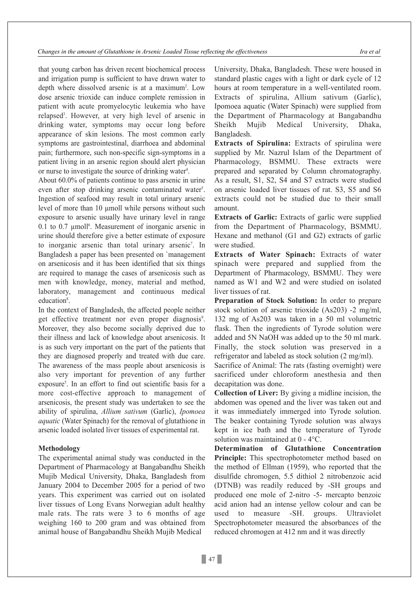that young carbon has driven recent biochemical process and irrigation pump is sufficient to have drawn water to depth where dissolved arsenic is at a maximum<sup>2</sup>. Low dose arsenic trioxide can induce complete remission in patient with acute promyelocytic leukemia who have relapsed<sup>3</sup>. However, at very high level of arsenic in drinking water, symptoms may occur long before appearance of skin lesions. The most common early symptoms are gastrointestinal, diarrhoea and abdominal pain; furthermore, such non-specific sign-symptoms in a patient living in an arsenic region should alert physician or nurse to investigate the source of drinking water<sup>4</sup>.

About 60.0% of patients continue to pass arsenic in urine even after stop drinking arsenic contaminated water<sup>5</sup>. Ingestion of seafood may result in total urinary arsenic level of more than 10 µmoll while persons without such exposure to arsenic usually have urinary level in range 0.1 to 0.7  $\mu$ moll<sup>6</sup>. Measurement of inorganic arsenic in urine should therefore give a better estimate of exposure to inorganic arsenic than total urinary arsenic<sup>7</sup>. In Bangladesh a paper has been presented on `management on arsenicosis and it has been identified that six things are required to manage the cases of arsenicosis such as men with knowledge, money, material and method, laboratory, management and continuous medical education<sup>8</sup>.

In the context of Bangladesh, the affected people neither get effective treatment nor even proper diagnosis<sup>9</sup>. Moreover, they also become socially deprived due to their illness and lack of knowledge about arsenicosis. It is as such very important on the part of the patients that they are diagnosed properly and treated with due care. The awareness of the mass people about arsenicosis is also very important for prevention of any further exposure<sup>5</sup>. In an effort to find out scientific basis for a more cost-effective approach to management of arsenicosis, the present study was undertaken to see the ability of spirulina, *Allium sativum* (Garlic), *Ipomoea aquatic* (Water Spinach) for the removal of glutathione in arsenic loaded isolated liver tissues of experimental rat.

### **Methodology**

The experimental animal study was conducted in the Department of Pharmacology at Bangabandhu Sheikh Mujib Medical University, Dhaka, Bangladesh from January 2004 to December 2005 for a period of two years. This experiment was carried out on isolated liver tissues of Long Evans Norwegian adult healthy male rats. The rats were 3 to 6 months of age weighing 160 to 200 gram and was obtained from animal house of Bangabandhu Sheikh Mujib Medical

University, Dhaka, Bangladesh. These were housed in standard plastic cages with a light or dark cycle of 12 hours at room temperature in a well-ventilated room. Extracts of spirulina, Allium sativum (Garlic), Ipomoea aquatic (Water Spinach) were supplied from the Department of Pharmacology at Bangabandhu Sheikh Mujib Medical University, Dhaka, Bangladesh.

**Extracts of Spirulina:** Extracts of spirulina were supplied by Mr. Nazrul Islam of the Department of Pharmacology, BSMMU. These extracts were prepared and separated by Column chromatography. As a result, S1, S2, S4 and S7 extracts were studied on arsenic loaded liver tissues of rat. S3, S5 and S6 extracts could not be studied due to their small amount.

**Extracts of Garlic:** Extracts of garlic were supplied from the Department of Pharmacology, BSMMU. Hexane and methanol (G1 and G2) extracts of garlic were studied.

**Extracts of Water Spinach:** Extracts of water spinach were prepared and supplied from the Department of Pharmacology, BSMMU. They were named as W1 and W2 and were studied on isolated liver tissues of rat.

**Preparation of Stock Solution:** In order to prepare stock solution of arsenic trioxide (As203) -2 mg/ml, 132 mg of As203 was taken in a 50 ml volumetric flask. Then the ingredients of Tyrode solution were added and 5N NaOH was added up to the 50 ml mark. Finally, the stock solution was preserved in a refrigerator and labeled as stock solution (2 mg/ml).

Sacrifice of Animal: The rats (fasting overnight) were sacrificed under chloroform anesthesia and then decapitation was done.

**Collection of Liver:** By giving a midline incision, the abdomen was opened and the liver was taken out and it was immediately immerged into Tyrode solution. The beaker containing Tyrode solution was always kept in ice bath and the temperature of Tyrode solution was maintained at 0 - 4°C.

**Determination of Glutathione Concentration Principle:** This spectrophotometer method based on the method of Ellman (1959), who reported that the disulfide chromogen, 5.5 dithiol 2 nitrobenzoic acid (DTNB) was readily reduced by -SH groups and produced one mole of 2-nitro -5- mercapto benzoic acid anion had an intense yellow colour and can be used to measure -SH. groups. Ultraviolet Spectrophotometer measured the absorbances of the reduced chromogen at 412 nm and it was directly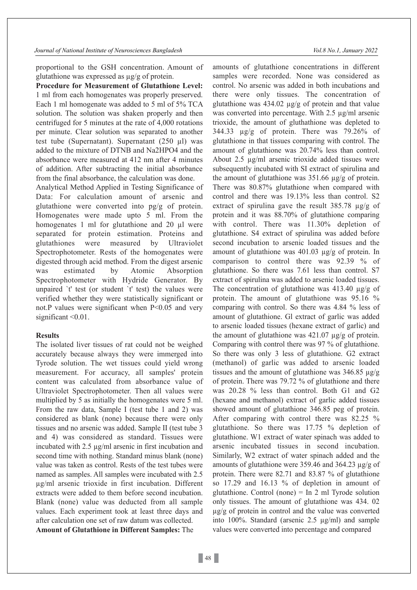*Journal of National Institute of Neurosciences Bangladesh Vol.8 No.1, January 2022*

proportional to the GSH concentration. Amount of glutathione was expressed as µg/g of protein.

**Procedure for Measurement of Glutathione Level:**  1 ml from each homogenates was properly preserved. Each 1 ml homogenate was added to 5 ml of 5% TCA solution. The solution was shaken properly and then centrifuged for 5 minutes at the rate of 4,000 rotations per minute. Clear solution was separated to another test tube (Supernatant). Supernatant (250 µl) was added to the mixture of DTNB and Na2HPO4 and the absorbance were measured at 412 nm after 4 minutes of addition. After subtracting the initial absorbance from the final absorbance, the calculation was done.

Analytical Method Applied in Testing Significance of Data: For calculation amount of arsenic and glutathione were converted into pg/g of protein. Homogenates were made upto 5 ml. From the homogenates 1 ml for glutathione and 20 µl were separated for protein estimation. Proteins and glutathiones were measured by Ultraviolet Spectrophotometer. Rests of the homogenates were digested through acid method. From the digest arsenic was estimated by Atomic Absorption Spectrophotometer with Hydride Generator. By unpaired `t' test (or student `t' test) the values were verified whether they were statistically significant or not.P values were significant when P<0.05 and very significant < 0.01.

# **Results**

The isolated liver tissues of rat could not be weighed accurately because always they were immerged into Tyrode solution. The wet tissues could yield wrong measurement. For accuracy, all samples' protein content was calculated from absorbance value of Ultraviolet Spectrophotometer. Then all values were multiplied by 5 as initially the homogenates were 5 ml. From the raw data, Sample I (test tube 1 and 2) was considered as blank (none) because there were only tissues and no arsenic was added. Sample II (test tube 3 and 4) was considered as standard. Tissues were incubated with 2.5 µg/ml arsenic in first incubation and second time with nothing. Standard minus blank (none) value was taken as control. Rests of the test tubes were named as samples. All samples were incubated with 2.5 µg/ml arsenic trioxide in first incubation. Different extracts were added to them before second incubation. Blank (none) value was deducted from all sample values. Each experiment took at least three days and after calculation one set of raw datum was collected. **Amount of Glutathione in Different Samples:** The

amounts of glutathione concentrations in different samples were recorded. None was considered as control. No arsenic was added in both incubations and there were only tissues. The concentration of glutathione was  $434.02 \mu g/g$  of protein and that value was converted into percentage. With 2.5 µg/ml arsenic trioxide, the amount of gluthathione was depleted to 344.33 µg/g of protein. There was 79.26% of glutathione in that tissues comparing with control. The amount of glutathione was 20.74% less than control. About 2.5 µg/ml arsenic trioxide added tissues were subsequently incubated with SI extract of spirulina and the amount of glutathione was  $351.66 \mu$ g/g of protein. There was 80.87% glutathione when compared with control and there was 19.13% less than control. S2 extract of spirulina gave the result 385.78 µg/g of protein and it was 88.70% of glutathione comparing with control. There was 11.30% depletion of glutathione. S4 extract of spirulina was added before second incubation to arsenic loaded tissues and the amount of glutathione was 401.03 µg/g of protein. In comparison to control there was 92.39 % of glutathione. So there was 7.61 less than control. S7 extract of spirulina was added to arsenic loaded tissues. The concentration of glutathione was  $413.40 \mu g/g$  of protein. The amount of glutathione was 95.16 % comparing with control. So there was 4.84 % less of amount of glutathione. Gl extract of garlic was added to arsenic loaded tissues (hexane extract of garlic) and the amount of glutathione was  $421.07 \mu$ g/g of protein. Comparing with control there was 97 % of glutathione. So there was only 3 less of glutathione. G2 extract (methanol) of garlic was added to arsenic loaded tissues and the amount of glutathione was  $346.85 \mu g/g$ of protein. There was 79.72 % of glutathione and there was 20.28 % less than control. Both G1 and G2 (hexane and methanol) extract of garlic added tissues showed amount of glutathione 346.85 peg of protein. After comparing with control there was 82.25 % glutathione. So there was 17.75 % depletion of glutathione. W1 extract of water spinach was added to arsenic incubated tissues in second incubation. Similarly, W2 extract of water spinach added and the amounts of glutathione were 359.46 and 364.23 µg/g of protein. There were 82.71 and 83.87 % of glutathione so 17.29 and 16.13 % of depletion in amount of glutathione. Control (none) = In 2 ml Tyrode solution only tissues. The amount of glutathione was 434. 02 µg/g of protein in control and the value was converted into 100%. Standard (arsenic 2.5 µg/ml) and sample values were converted into percentage and compared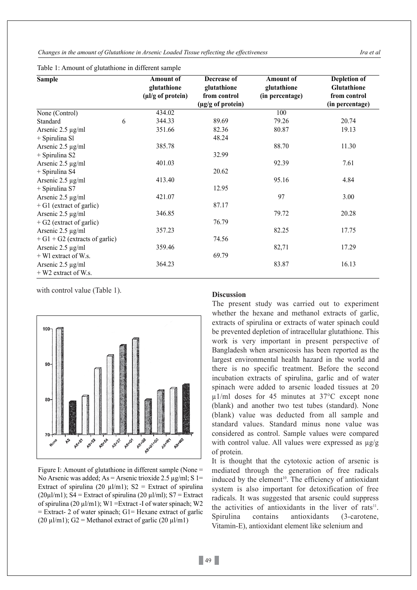*Changes in the amount of Glutathione in Arsenic Loaded Tissue reflecting the effectiveness Ira et al*

| <b>Sample</b>                    |   | <b>Amount of</b><br>glutathione<br>$(\mu l/g \text{ of protein})$ | Decrease of<br>glutathione<br>from control | <b>Amount of</b><br>glutathione<br>(in percentage) | Depletion of<br>Glutathione<br>from control |                |  |        |                   |     |                 |
|----------------------------------|---|-------------------------------------------------------------------|--------------------------------------------|----------------------------------------------------|---------------------------------------------|----------------|--|--------|-------------------|-----|-----------------|
|                                  |   |                                                                   |                                            |                                                    |                                             |                |  |        | (µg/g of protein) |     | (in percentage) |
|                                  |   |                                                                   |                                            |                                                    |                                             | None (Control) |  | 434.02 |                   | 100 |                 |
| Standard                         | 6 | 344.33                                                            | 89.69                                      | 79.26                                              | 20.74                                       |                |  |        |                   |     |                 |
| Arsenic $2.5 \mu g/ml$           |   | 351.66                                                            | 82.36                                      | 80.87                                              | 19.13                                       |                |  |        |                   |     |                 |
| + Spirulina Sl                   |   |                                                                   | 48.24                                      |                                                    |                                             |                |  |        |                   |     |                 |
| Arsenic $2.5 \mu g/ml$           |   | 385.78                                                            |                                            | 88.70                                              | 11.30                                       |                |  |        |                   |     |                 |
| + Spirulina S2                   |   |                                                                   | 32.99                                      |                                                    |                                             |                |  |        |                   |     |                 |
| Arsenic $2.5 \mu g/ml$           |   | 401.03                                                            |                                            | 92.39                                              | 7.61                                        |                |  |        |                   |     |                 |
| + Spirulina S4                   |   |                                                                   | 20.62                                      |                                                    |                                             |                |  |        |                   |     |                 |
| Arsenic $2.5 \mu g/ml$           |   | 413.40                                                            |                                            | 95.16                                              | 4.84                                        |                |  |        |                   |     |                 |
| + Spirulina S7                   |   |                                                                   | 12.95                                      |                                                    |                                             |                |  |        |                   |     |                 |
| Arsenic 2.5 µg/ml                |   | 421.07                                                            |                                            | 97                                                 | 3.00                                        |                |  |        |                   |     |                 |
| $+$ G1 (extract of garlic)       |   |                                                                   | 87.17                                      |                                                    |                                             |                |  |        |                   |     |                 |
| Arsenic $2.5 \mu g/ml$           |   | 346.85                                                            |                                            | 79.72                                              | 20.28                                       |                |  |        |                   |     |                 |
| $+ G2$ (extract of garlic)       |   |                                                                   | 76.79                                      |                                                    |                                             |                |  |        |                   |     |                 |
| Arsenic 2.5 µg/ml                |   | 357.23                                                            |                                            | 82.25                                              | 17.75                                       |                |  |        |                   |     |                 |
| $+ G1 + G2$ (extracts of garlic) |   |                                                                   | 74.56                                      |                                                    |                                             |                |  |        |                   |     |                 |
| Arsenic $2.5 \mu g/ml$           |   | 359.46                                                            |                                            | 82,71                                              | 17.29                                       |                |  |        |                   |     |                 |
| + Wl extract of W.s.             |   |                                                                   | 69.79                                      |                                                    |                                             |                |  |        |                   |     |                 |
| Arsenic $2.5 \mu g/ml$           |   | 364.23                                                            |                                            | 83.87                                              | 16.13                                       |                |  |        |                   |     |                 |
| + W2 extract of W.s.             |   |                                                                   |                                            |                                                    |                                             |                |  |        |                   |     |                 |

Table 1: Amount of glutathione in different sample

with control value (Table 1). **Discussion** 



Figure I: Amount of glutathione in different sample (None = No Arsenic was added; As = Arsenic trioxide 2.5  $\mu$ g/ml; S 1= Extract of spirulina (20  $\mu$ l/m1); S2 = Extract of spirulina  $(20\mu\text{J/m1})$ ; S4 = Extract of spirulina  $(20 \mu\text{J/m1})$ ; S7 = Extract of spirulina (20  $\mu$ l/m1); W1 = Extract -I of water spinach; W2  $=$  Extract- 2 of water spinach; G1= Hexane extract of garlic (20  $\mu$ l/m1); G2 = Methanol extract of garlic (20  $\mu$ l/m1)

The present study was carried out to experiment whether the hexane and methanol extracts of garlic, extracts of spirulina or extracts of water spinach could be prevented depletion of intracellular glutathione. This work is very important in present perspective of Bangladesh when arsenicosis has been reported as the largest environmental health hazard in the world and there is no specific treatment. Before the second incubation extracts of spirulina, garlic and of water spinach were added to arsenic loaded tissues at 20 µ1/ml doses for 45 minutes at 37°C except none (blank) and another two test tubes (standard). None (blank) value was deducted from all sample and standard values. Standard minus none value was considered as control. Sample values were compared with control value. All values were expressed as  $\mu$ g/g of protein.

It is thought that the cytotoxic action of arsenic is mediated through the generation of free radicals induced by the element 10. The efficiency of antioxidant system is also important for detoxification of free radicals. It was suggested that arsenic could suppress the activities of antioxidants in the liver of rats<sup>11</sup>. Spirulina contains antioxidants (3-carotene, Vitamin-E), antioxidant element like selenium and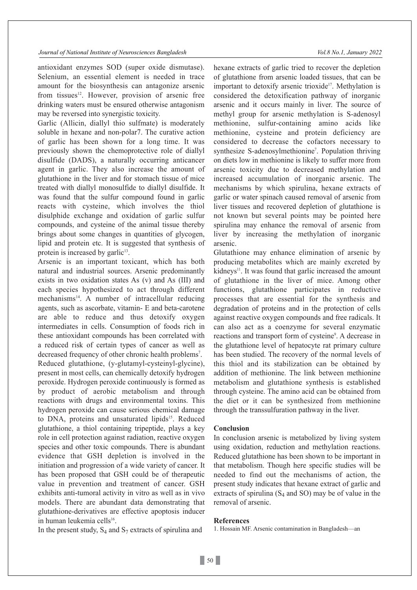antioxidant enzymes SOD (super oxide dismutase). Selenium, an essential element is needed in trace amount for the biosynthesis can antagonize arsenic from tissues $12$ . However, provision of arsenic free drinking waters must be ensured otherwise antagonism may be reversed into synergistic toxicity.

Garlic (Allicin, diallyl thio sulfmate) is moderately soluble in hexane and non-polar7. The curative action of garlic has been shown for a long time. It was previously shown the chemoprotective role of diallyl disulfide (DADS), a naturally occurring anticancer agent in garlic. They also increase the amount of glutathione in the liver and for stomach tissue of mice treated with diallyl monosulfide to diallyl disulfide. It was found that the sulfur compound found in garlic reacts with cysteine, which involves the thiol disulphide exchange and oxidation of garlic sulfur compounds, and cysteine of the animal tissue thereby brings about some changes in quantities of glycogen, lipid and protein etc. It is suggested that synthesis of protein is increased by garlic $13$ .

Arsenic is an important toxicant, which has both natural and industrial sources. Arsenic predominantly exists in two oxidation states As (v) and As (III) and each species hypothesized to act through different  $mechanisms<sup>14</sup>$ . A number of intracellular reducing agents, such as ascorbate, vitamin- E and beta-carotene are able to reduce and thus detoxify oxygen intermediates in cells. Consumption of foods rich in these antioxidant compounds has been correlated with a reduced risk of certain types of cancer as well as decreased frequency of other chronic health problems<sup>7</sup>. Reduced glutathione, (y-glutamyl-cysteinyl-glycine), present in most cells, can chemically detoxify hydrogen peroxide. Hydrogen peroxide continuously is formed as by product of aerobic metabolism and through reactions with drugs and environmental toxins. This hydrogen peroxide can cause serious chemical damage to DNA, proteins and unsaturated lipids<sup>15</sup>. Reduced glutathione, a thiol containing tripeptide, plays a key role in cell protection against radiation, reactive oxygen species and other toxic compounds. There is abundant evidence that GSH depletion is involved in the initiation and progression of a wide variety of cancer. It has been proposed that GSH could be of therapeutic value in prevention and treatment of cancer. GSH exhibits anti-tumoral activity in vitro as well as in vivo models. There are abundant data demonstrating that glutathione-derivatives are effective apoptosis inducer in human leukemia cells<sup>16</sup>.

In the present study,  $S_4$  and  $S_7$  extracts of spirulina and

hexane extracts of garlic tried to recover the depletion of glutathione from arsenic loaded tissues, that can be important to detoxify arsenic trioxide<sup>17</sup>. Methylation is considered the detoxification pathway of inorganic arsenic and it occurs mainly in liver. The source of methyl group for arsenic methylation is S-adenosyl methionine, sulfur-containing amino acids like methionine, cysteine and protein deficiency are considered to decrease the cofactors necessary to synthesize S-adenosylmethionine<sup>7</sup>. Population thriving on diets low in methionine is likely to suffer more from arsenic toxicity due to decreased methylation and increased accumulation of inorganic arsenic. The mechanisms by which spirulina, hexane extracts of garlic or water spinach caused removal of arsenic from liver tissues and recovered depletion of glutathione is not known but several points may be pointed here spirulina may enhance the removal of arsenic from liver by increasing the methylation of inorganic arsenic.

Glutathione may enhance elimination of arsenic by producing metabolites which are mainly excreted by kidneys $11$ . It was found that garlic increased the amount of glutathione in the liver of mice. Among other functions, glutathione participates in reductive processes that are essential for the synthesis and degradation of proteins and in the protection of cells against reactive oxygen compounds and free radicals. It can also act as a coenzyme for several enzymatic reactions and transport form of cysteine<sup>9</sup>. A decrease in the glutathione level of hepatocyte rat primary culture has been studied. The recovery of the normal levels of this thiol and its stabilization can be obtained by addition of methionine. The link between methionine metabolism and glutathione synthesis is established through cysteine. The amino acid can be obtained from the diet or it can be synthesized from methionine through the transsulfuration pathway in the liver.

#### **Conclusion**

In conclusion arsenic is metabolized by living system using oxidation, reduction and methylation reactions. Reduced glutathione has been shown to be important in that metabolism. Though here specific studies will be needed to find out the mechanisms of action, the present study indicates that hexane extract of garlic and extracts of spirulina  $(S_4 \text{ and } SO)$  may be of value in the removal of arsenic.

#### **References**

1. Hossain MF. Arsenic contamination in Bangladesh—an